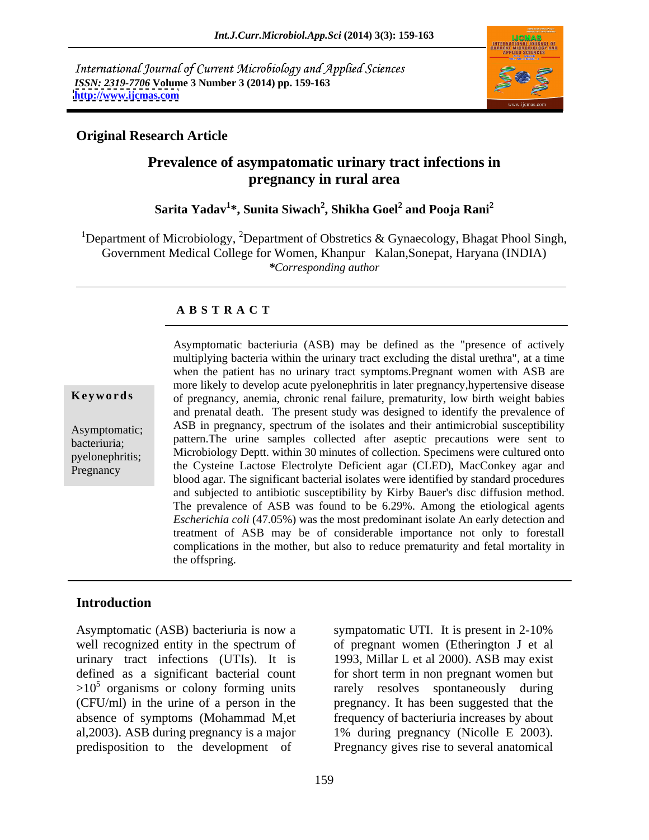International Journal of Current Microbiology and Applied Sciences *ISSN: 2319-7706* **Volume 3 Number 3 (2014) pp. 159-163 <http://www.ijcmas.com>**



#### **Original Research Article**

## **Prevalence of asympatomatic urinary tract infections in pregnancy in rural area**

#### $\boldsymbol{\mathrm{Sarita\;Yadav}}^{1*}$ , Sunita Siwach $^{2}$ , Shikha Goel $^{2}$  and Pooja Rani $^{2}$  **and Pooja Rani<sup>2</sup>**

<sup>1</sup>Department of Microbiology, <sup>2</sup>Department of Obstretics & Gynaecology, Bhagat Phool Singh, Government Medical College for Women, Khanpur Kalan,Sonepat, Haryana (INDIA) *\*Corresponding author* 

#### **A B S T R A C T**

**Ke ywo rds** of pregnancy, anemia, chronic renal failure, prematurity, low birth weight babies Asymptomatic; ASB in pregnancy, spectrum of the isolates and their antimicrobial susceptibility bacteriuria; pattern.The urine samples collected after aseptic precautions were sent to  $\blacksquare$  Microbiology Deptt. within 30 minutes of collection. Specimens were cultured onto pyelonephritis; Pregnancy the Cysteine Lactose Electrolyte Deficient agar (CLED), MacConkey agar and Asymptomatic bacteriuria (ASB) may be defined as the "presence of actively multiplying bacteria within the urinary tract excluding the distal urethra", at a time when the patient has no urinary tract symptoms. Pregnant women with ASB are more likely to develop acute pyelonephritis in later pregnancy,hypertensive disease and prenatal death. The present study was designed to identify the prevalence of blood agar. The significant bacterial isolates were identified by standard procedures and subjected to antibiotic susceptibility by Kirby Bauer's disc diffusion method. The prevalence of ASB was found to be 6.29%. Among the etiological agents *Escherichia coli* (47.05%) was the most predominant isolate An early detection and treatment of ASB may be of considerable importance not only to forestall complications in the mother, but also to reduce prematurity and fetal mortality in the offspring.

### **Introduction**

Asymptomatic (ASB) bacteriuria is now a sympatomatic UTI. It is present in 2-10% well recognized entity in the spectrum of of pregnant women (Etherington J et al urinary tract infections (UTIs). It is 1993, Millar L et al 2000). ASB may exist defined as a significant bacterial count for short term in non pregnant women but  $>10^5$  organisms or colony forming units rarely resolves spontaneously during (CFU/ml) in the urine of a person in the pregnancy. It has been suggested that the absence of symptoms (Mohammad M,et frequency of bacteriuria increases by about al,2003). ASB during pregnancy is a major 1% during pregnancy (Nicolle E 2003).

predisposition to the development of Pregnancy gives rise to several anatomical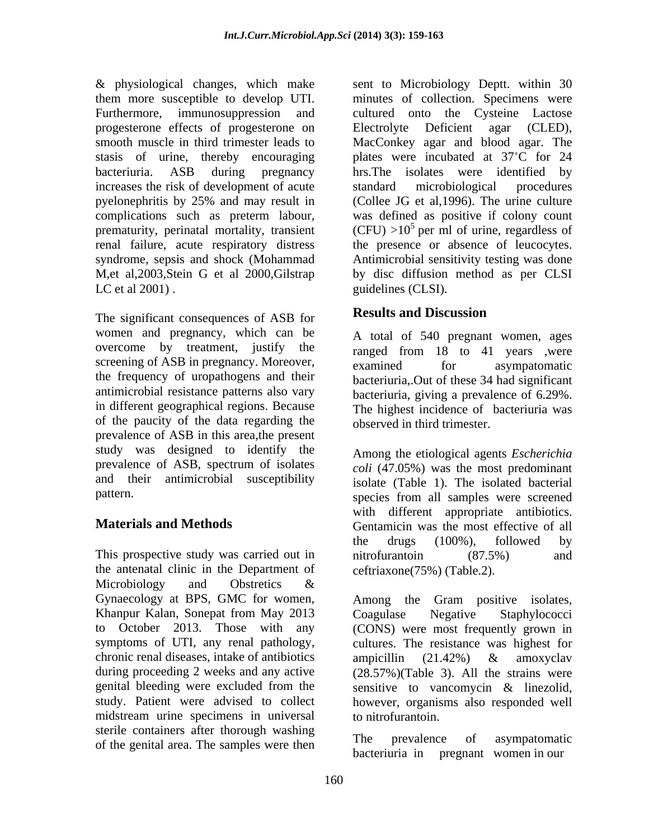progesterone effects of progesterone on Electrolyte Deficient agar (CLED), stasis of urine, thereby encouraging increases the risk of development of acute standard microbiological procedures renal failure, acute respiratory distress LC et al 2001). guidelines (CLSI).

The significant consequences of ASB for **Results and Discussion** women and pregnancy, which can be overcome by treatment, justify the screening of ASB in pregnancy. Moreover,<br>examined for asympatomatic the frequency of uropathogens and their antimicrobial resistance patterns also vary bacteriuria, giving a prevalence of 6.29%. in different geographical regions. Because of the paucity of the data regarding the prevalence of ASB in this area,the present study was designed to identify the prevalence of ASB, spectrum of isolates and their antimicrobial susceptibility

This prospective study was carried out in mitrofurantoin (87.5%) and the antenatal clinic in the Department of Microbiology and Obstretics & Khanpur Kalan, Sonepat from May 2013 Coagulase Negative Staphylococci midstream urine specimens in universal sterile containers after thorough washing<br>of the contial area. The complex was then<br>the prevalence of asymptomatic of the genital area. The samples were then

& physiological changes, which make sent to Microbiology Deptt. within 30 them more susceptible to develop UTI. minutes of collection. Specimens were Furthermore, immunosuppression and cultured onto the Cysteine Lactose smooth muscle in third trimester leads to MacConkey agar and blood agar. The bacteriuria. ASB during pregnancy hrs.The isolates were identified by pyelonephritis by 25% and may result in (Collee JG et al, 1996). The urine culture complications such as preterm labour, was defined as positive if colony count prematurity, perinatal mortality, transient  $(CFU) > 10<sup>5</sup>$  per ml of urine, regardless of syndrome, sepsis and shock (Mohammad Antimicrobial sensitivity testing was done M, et al, 2003, Stein G et al 2000, Gilstrap by disc diffusion method as per CLSI Electrolyte Deficient agar (CLED), plates were incubated at 37°C for 24 standard microbiological procedures (Collee JG et al,1996). The urine culture the presence or absence of leucocytes.

## **Results and Discussion**

A total of 540 pregnant women, ages ranged from 18 to 41 years ,were examined for asympatomatic bacteriuria,.Out of these 34 had significant The highest incidence of bacteriuria was observed in third trimester.

pattern. species from all samples were screened **Materials and Methods** Gentamicin was the most effective of all Among the etiological agents *Escherichia coli* (47.05%) was the most predominant isolate (Table 1). The isolated bacterial with different appropriate antibiotics. the drugs (100%), followed by nitrofurantoin (87.5%) and ceftriaxone(75%) (Table.2).

Gynaecology at BPS, GMC for women, Among the Gram positive isolates, to October 2013. Those with any (CONS) were most frequently grown in symptoms of UTI, any renal pathology, cultures. The resistance was highest for chronic renal diseases, intake of antibiotics ampicillin  $(21.42\%)$  & amoxyclav during proceeding 2 weeks and any active (28.57%)(Table 3). All the strains were genital bleeding were excluded from the sensitive to vancomycin & linezolid, study. Patient were advised to collect however, organisms also responded well Coagulase Negative Staphylococci cultures. The resistance was highest for ampicillin (21.42%) & amoxyclav to nitrofurantoin.

> The prevalence of asympatomatic bacteriuria in pregnant women in our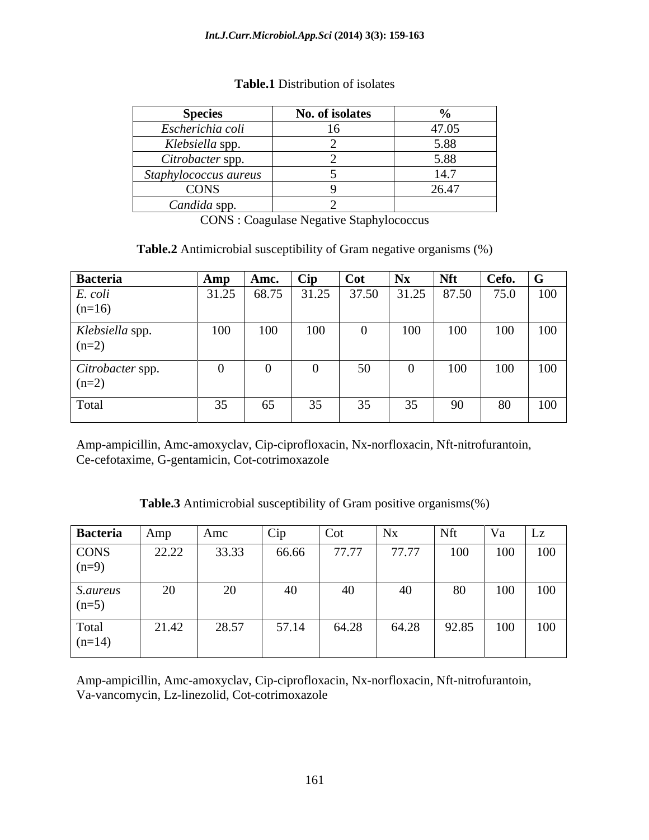| Species                               | No. of isolates<br>10.7222222 |                                                                                                                   |
|---------------------------------------|-------------------------------|-------------------------------------------------------------------------------------------------------------------|
| Escherichia coli                      |                               | 1705                                                                                                              |
| Klebsiella spp.                       |                               | 5.88                                                                                                              |
| Citrobacter spp.                      |                               | 5.88<br>$\sim$ . $\sim$ $\sim$<br>the contract of the contract of the contract of the contract of the contract of |
| taphylococcus aureus<br>$\sim$ $\sim$ |                               | 14.7                                                                                                              |
| CONS                                  |                               | 26.47<br>the contract of the contract of the contract of the contract of the contract of                          |
| Candida spp.                          |                               |                                                                                                                   |

#### **Table.1** Distribution of isolates

CONS : Coagulase Negative Staphylococcus

**Table.2** Antimicrobial susceptibility of Gram negative organisms (%)

| Bacteria                    | Amp   | Amc.  |     | $\blacksquare$ Cot        |     |     | Cefo.      | $\sim$   |
|-----------------------------|-------|-------|-----|---------------------------|-----|-----|------------|----------|
| E. coli<br>$(n=16)$         | 31.25 | 68.75 |     | $31.25$ 37.50 31.25 87.50 |     |     |            | 75.0 100 |
| Klebsiella spp.<br>$(n=2)$  | 100   | 100   | 100 |                           | 100 | 100 |            | 100 100  |
| Citrobacter spp.<br>$(n=2)$ |       |       |     |                           |     | 100 |            | 100 100  |
| Total                       |       | 65    | ر ر | $\sim$ $\sim$             | 55  | YV  | $\delta U$ | 100      |

Amp-ampicillin, Amc-amoxyclav, Cip-ciprofloxacin, Nx-norfloxacin, Nft-nitrofurantoin, Ce-cefotaxime, G-gentamicin, Cot-cotrimoxazole

**Table.3** Antimicrobial susceptibility of Gram positive organisms(%)

| Bacteria                                                     | Amp   | Amc   | Cip   | Cot   | Nx    | Nft   | Va  | $\mathsf{L}$            |
|--------------------------------------------------------------|-------|-------|-------|-------|-------|-------|-----|-------------------------|
| $\begin{array}{c}\n\text{CONS} \\ \text{(n=9)}\n\end{array}$ | 22.22 | 33.33 | 66.66 | 77.77 | 77.77 | 100   | 100 | 100                     |
| S.aureus<br>$(n=5)$                                          | ZU    | ∽     | 40    |       | 40    | 80    | 100 | $\overline{100}$<br>100 |
| $\begin{array}{c}\n\text{Total} \\ (n=14)\n\end{array}$      | 21.42 | 28.57 | 57.14 | 64.28 | 64.28 | 92.85 | 100 | 100                     |

Amp-ampicillin, Amc-amoxyclav, Cip-ciprofloxacin, Nx-norfloxacin, Nft-nitrofurantoin, Va-vancomycin, Lz-linezolid, Cot-cotrimoxazole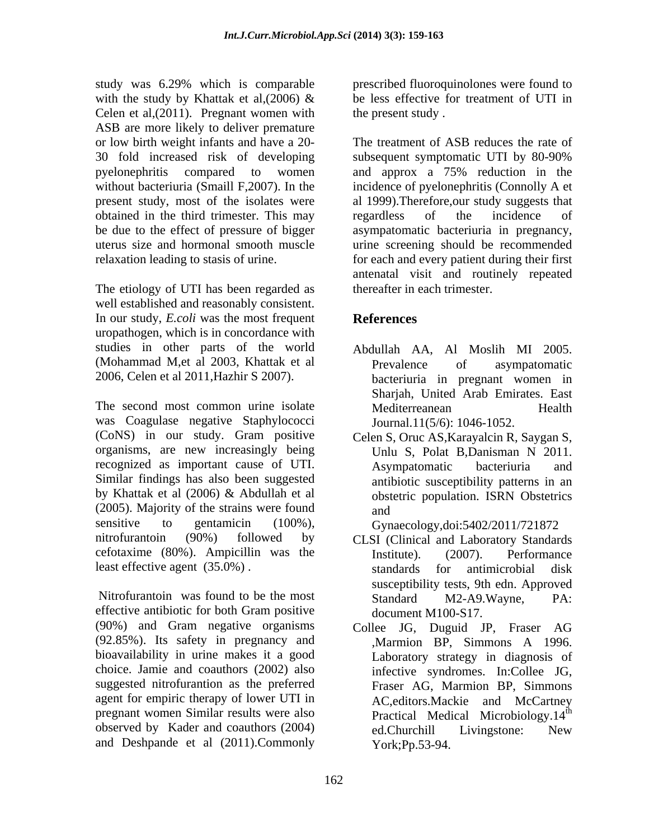study was 6.29% which is comparable with the study by Khattak et al,  $(2006)$  & Celen et al,(2011). Pregnant women with ASB are more likely to deliver premature or low birth weight infants and have a 20 obtained in the third trimester. This may

The etiology of UTI has been regarded as well established and reasonably consistent. In our study, *E.coli* was the most frequent uropathogen, which is in concordance with studies in other parts of the world (Mohammad M,et al 2003, Khattak et al 2006, Celen et al 2011,Hazhir S 2007).

The second most common urine isolate Mediterreanean Health was Coagulase negative Staphylococci (CoNS) in our study. Gram positive organisms, are new increasingly being recognized as important cause of UTI. Similar findings has also been suggested by Khattak et al (2006) & Abdullah et al (2005). Majority of the strains were found sensitive to gentamicin (100%), Gynaecology,doi:5402/2011/721872 nitrofurantoin (90%) followed by CLSI (Clinical and Laboratory Standards cefotaxime (80%). Ampicillin was the least effective agent (35.0%). Standards for antimicrobial disk

Nitrofurantoin was found to be the most Standard M2-A9. Wayne, PA: effective antibiotic for both Gram positive (90%) and Gram negative organisms (92.85%). Its safety in pregnancy and bioavailability in urine makes it a good choice. Jamie and coauthors (2002) also suggested nitrofurantion as the preferred agent for empiric therapy of lower UTI in observed by Kader and coauthors (2004) ed.Churchill Livingstone: New and Deshpande et al (2011).Commonly

prescribed fluoroquinolones were found to be less effective for treatment of UTI in the present study .

30 fold increased risk of developing subsequent symptomatic UTI by 80-90% pyelonephritis compared to women and approx a 75% reduction in the without bacteriuria (Smaill F,2007). In the incidence of pyelonephritis (Connolly A et present study, most of the isolates were al 1999).Therefore,our study suggests that be due to the effect of pressure of bigger asympatomatic bacteriuria in pregnancy, uterus size and hormonal smooth muscle urine screening should be recommended relaxation leading to stasis of urine. for each and every patient during their first The treatment of ASB reduces the rate of regardless of the incidence of antenatal visit and routinely repeated thereafter in each trimester.

# **References**

- Abdullah AA, Al Moslih MI 2005. Prevalence of asympatomatic bacteriuria in pregnant women in Sharjah, United Arab Emirates. East Mediterreanean Health Journal.11(5/6): 1046-1052.
- Celen S, Oruc AS,Karayalcin R, Saygan S, Unlu S, Polat B,Danisman N 2011. Asympatomatic bacteriuria and antibiotic susceptibility patterns in an obstetric population. ISRN Obstetrics and

- Institute). (2007). Performance standards for antimicrobial disk susceptibility tests, 9th edn. Approved Standard M2-A9.Wayne, PA: document M100-S17.
- pregnant women Similar results were also **Practical Medical Microbiology.**14<sup>th</sup> Collee JG, Duguid JP, Fraser AG ,Marmion BP, Simmons A 1996. Laboratory strategy in diagnosis of infective syndromes. In:Collee JG, Fraser AG, Marmion BP, Simmons AC,editors.Mackie and McCartney the contract of the contract of the contract of the contract of the contract of the contract of the contract of the contract of the contract of the contract of the contract of the contract of the contract of the contract o ed.Churchill Livingstone: New York;Pp.53-94.